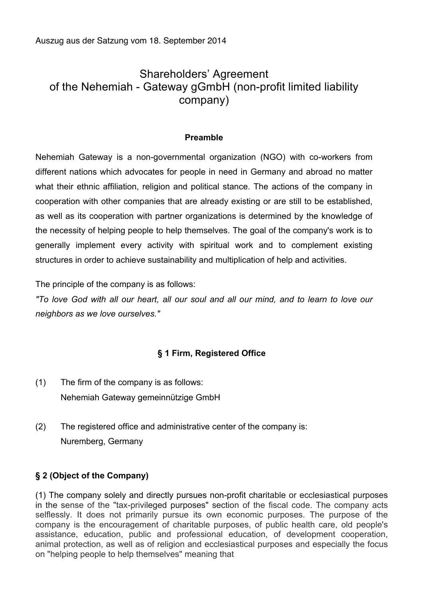Auszug aus der Satzung vom 18. September 2014

# Shareholders' Agreement of the Nehemiah - Gateway gGmbH (non-profit limited liability company)

### **Preamble**

Nehemiah Gateway is a non-governmental organization (NGO) with co-workers from different nations which advocates for people in need in Germany and abroad no matter what their ethnic affiliation, religion and political stance. The actions of the company in cooperation with other companies that are already existing or are still to be established, as well as its cooperation with partner organizations is determined by the knowledge of the necessity of helping people to help themselves. The goal of the company's work is to generally implement every activity with spiritual work and to complement existing structures in order to achieve sustainability and multiplication of help and activities.

The principle of the company is as follows:

*"To love God with all our heart, all our soul and all our mind, and to learn to love our neighbors as we love ourselves."*

# **§ 1 Firm, Registered Office**

- (1) The firm of the company is as follows: Nehemiah Gateway gemeinnützige GmbH
- (2) The registered office and administrative center of the company is: Nuremberg, Germany

## **§ 2 (Object of the Company)**

(1) The company solely and directly pursues non-profit charitable or ecclesiastical purposes in the sense of the "tax-privileged purposes" section of the fiscal code. The company acts selflessly. It does not primarily pursue its own economic purposes. The purpose of the company is the encouragement of charitable purposes, of public health care, old people's assistance, education, public and professional education, of development cooperation, animal protection, as well as of religion and ecclesiastical purposes and especially the focus on "helping people to help themselves" meaning that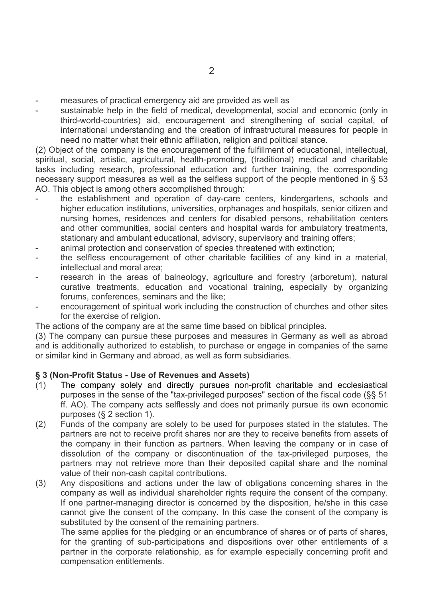- measures of practical emergency aid are provided as well as
- sustainable help in the field of medical, developmental, social and economic (only in third-world-countries) aid, encouragement and strengthening of social capital, of international understanding and the creation of infrastructural measures for people in need no matter what their ethnic affiliation, religion and political stance.

(2) Object of the company is the encouragement of the fulfillment of educational, intellectual, spiritual, social, artistic, agricultural, health-promoting, (traditional) medical and charitable tasks including research, professional education and further training, the corresponding necessary support measures as well as the selfless support of the people mentioned in § 53 AO. This object is among others accomplished through:

- the establishment and operation of day-care centers, kindergartens, schools and higher education institutions, universities, orphanages and hospitals, senior citizen and nursing homes, residences and centers for disabled persons, rehabilitation centers and other communities, social centers and hospital wards for ambulatory treatments, stationary and ambulant educational, advisory, supervisory and training offers;
- animal protection and conservation of species threatened with extinction;
- the selfless encouragement of other charitable facilities of any kind in a material, intellectual and moral area;
- research in the areas of balneology, agriculture and forestry (arboretum), natural curative treatments, education and vocational training, especially by organizing forums, conferences, seminars and the like;
- encouragement of spiritual work including the construction of churches and other sites for the exercise of religion.

The actions of the company are at the same time based on biblical principles.

(3) The company can pursue these purposes and measures in Germany as well as abroad and is additionally authorized to establish, to purchase or engage in companies of the same or similar kind in Germany and abroad, as well as form subsidiaries.

#### **§ 3 (Non-Profit Status - Use of Revenues and Assets)**

- (1) The company solely and directly pursues non-profit charitable and ecclesiastical purposes in the sense of the "tax-privileged purposes" section of the fiscal code (§§ 51 ff. AO). The company acts selflessly and does not primarily pursue its own economic purposes (§ 2 section 1).
- (2) Funds of the company are solely to be used for purposes stated in the statutes. The partners are not to receive profit shares nor are they to receive benefits from assets of the company in their function as partners. When leaving the company or in case of dissolution of the company or discontinuation of the tax-privileged purposes, the partners may not retrieve more than their deposited capital share and the nominal value of their non-cash capital contributions.
- (3) Any dispositions and actions under the law of obligations concerning shares in the company as well as individual shareholder rights require the consent of the company. If one partner-managing director is concerned by the disposition, he/she in this case cannot give the consent of the company. In this case the consent of the company is substituted by the consent of the remaining partners.

The same applies for the pledging or an encumbrance of shares or of parts of shares, for the granting of sub-participations and dispositions over other entitlements of a partner in the corporate relationship, as for example especially concerning profit and compensation entitlements.